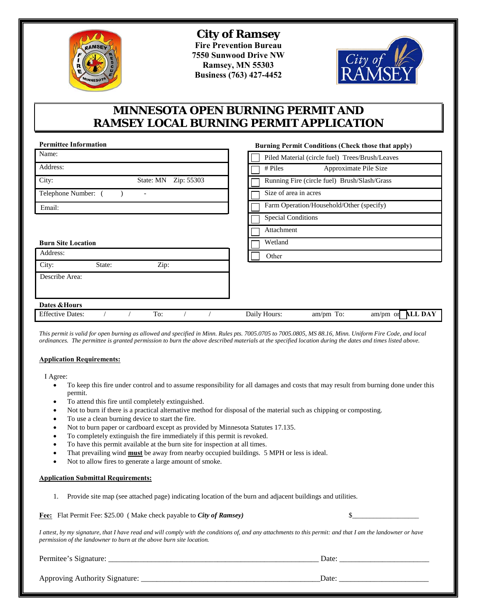

**City of Ramsey Fire Prevention Bureau 7550 Sunwood Drive NW Ramsey, MN 55303 Business (763) 427-4452** 



## **MINNESOTA OPEN BURNING PERMIT AND RAMSEY LOCAL BURNING PERMIT APPLICATION**

| <b>Burning Permit Conditions (Check those that apply)</b> |
|-----------------------------------------------------------|
| Piled Material (circle fuel) Trees/Brush/Leaves           |
| Approximate Pile Size<br># Piles                          |
| Running Fire (circle fuel) Brush/Slash/Grass              |
| Size of area in acres                                     |
| Farm Operation/Household/Other (specify)                  |
| <b>Special Conditions</b>                                 |
| Attachment                                                |
| Wetland                                                   |
| Other                                                     |
|                                                           |
|                                                           |
|                                                           |
|                                                           |
| <b>ALL DAY</b><br>Daily Hours:<br>am/pm To:<br>$am/pm$ or |
|                                                           |

*This permit is valid for open burning as allowed and specified in Minn. Rules pts. 7005.0705 to 7005.0805, MS 88.16, Minn. Uniform Fire Code, and local ordinances. The permittee is granted permission to burn the above described materials at the specified location during the dates and times listed above.*

## **Application Requirements:**

I Agree:

- To keep this fire under control and to assume responsibility for all damages and costs that may result from burning done under this permit.
- To attend this fire until completely extinguished.
- Not to burn if there is a practical alternative method for disposal of the material such as chipping or composting.
- To use a clean burning device to start the fire.
- Not to burn paper or cardboard except as provided by Minnesota Statutes 17.135.
- To completely extinguish the fire immediately if this permit is revoked.
- To have this permit available at the burn site for inspection at all times.
- That prevailing wind **must** be away from nearby occupied buildings. 5 MPH or less is ideal.
- Not to allow fires to generate a large amount of smoke.

## **Application Submittal Requirements:**

1. Provide site map (see attached page) indicating location of the burn and adjacent buildings and utilities.

**Fee:** Flat Permit Fee: \$25.00 ( Make check payable to *City of Ramsey)* \$\_\_\_\_\_\_\_\_\_\_\_\_\_\_\_\_\_\_\_

*I attest, by my signature, that I have read and will comply with the conditions of, and any attachments to this permit: and that I am the landowner or have permission of the landowner to burn at the above burn site location.*

| Perm<br>້ | ___________ | )ate<br>Duv<br>______<br>_______________ |
|-----------|-------------|------------------------------------------|
|           |             |                                          |

Approving Authority Signature: \_\_\_\_\_\_\_\_\_\_\_\_\_\_\_\_\_\_\_\_\_\_\_\_\_\_\_\_\_\_\_\_\_\_\_\_\_\_\_\_\_\_\_\_\_\_Date: \_\_\_\_\_\_\_\_\_\_\_\_\_\_\_\_\_\_\_\_\_\_\_